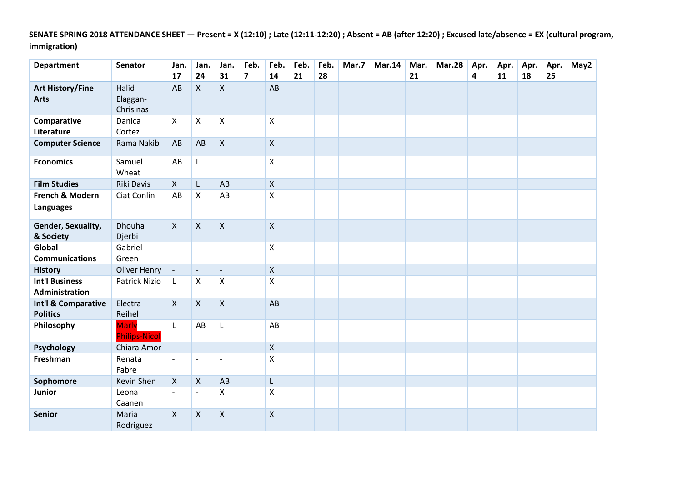**SENATE SPRING 2018 ATTENDANCE SHEET — Present = X (12:10) ; Late (12:11-12:20) ; Absent = AB (after 12:20) ; Excused late/absence = EX (cultural program, immigration)**

| <b>Department</b>                              | <b>Senator</b>                       | Jan.                     | Jan.                     | Jan.                     | Feb.                    | Feb.               | Feb. | Feb. | Mar.7 | <b>Mar.14</b> | Mar. | <b>Mar.28</b> | Apr. | Apr. | Apr. | Apr. | May2 |
|------------------------------------------------|--------------------------------------|--------------------------|--------------------------|--------------------------|-------------------------|--------------------|------|------|-------|---------------|------|---------------|------|------|------|------|------|
|                                                |                                      | 17                       | 24                       | 31                       | $\overline{\mathbf{z}}$ | 14                 | 21   | 28   |       |               | 21   |               | 4    | 11   | 18   | 25   |      |
| <b>Art History/Fine</b>                        | Halid                                | AB                       | $\mathsf{X}$             | $\pmb{\mathsf{X}}$       |                         | AB                 |      |      |       |               |      |               |      |      |      |      |      |
| <b>Arts</b>                                    | Elaggan-<br>Chrisinas                |                          |                          |                          |                         |                    |      |      |       |               |      |               |      |      |      |      |      |
| Comparative                                    | Danica                               | $\mathsf{X}$             | $\pmb{\mathsf{X}}$       | $\pmb{\mathsf{X}}$       |                         | Χ                  |      |      |       |               |      |               |      |      |      |      |      |
| Literature                                     | Cortez                               |                          |                          |                          |                         |                    |      |      |       |               |      |               |      |      |      |      |      |
| <b>Computer Science</b>                        | Rama Nakib                           | AB                       | AB                       | $\mathsf{X}$             |                         | $\mathsf{X}$       |      |      |       |               |      |               |      |      |      |      |      |
| <b>Economics</b>                               | Samuel<br>Wheat                      | AB                       | L                        |                          |                         | Χ                  |      |      |       |               |      |               |      |      |      |      |      |
| <b>Film Studies</b>                            | <b>Riki Davis</b>                    | $\mathsf{X}$             | L                        | AB                       |                         | $\mathsf{X}$       |      |      |       |               |      |               |      |      |      |      |      |
| French & Modern                                | Ciat Conlin                          | AB                       | $\mathsf{X}$             | AB                       |                         | Χ                  |      |      |       |               |      |               |      |      |      |      |      |
| <b>Languages</b>                               |                                      |                          |                          |                          |                         |                    |      |      |       |               |      |               |      |      |      |      |      |
| Gender, Sexuality,<br>& Society                | Dhouha<br>Djerbi                     | $\mathsf{X}$             | $\mathsf{X}$             | $\mathsf{X}$             |                         | $\mathsf{X}$       |      |      |       |               |      |               |      |      |      |      |      |
| Global                                         | Gabriel                              | $\overline{\phantom{a}}$ | $\overline{\phantom{a}}$ | $\overline{\phantom{a}}$ |                         | Χ                  |      |      |       |               |      |               |      |      |      |      |      |
| <b>Communications</b>                          | Green                                |                          |                          |                          |                         |                    |      |      |       |               |      |               |      |      |      |      |      |
| <b>History</b>                                 | <b>Oliver Henry</b>                  | $\blacksquare$           | $\blacksquare$           | $\overline{\phantom{a}}$ |                         | $\mathsf{X}$       |      |      |       |               |      |               |      |      |      |      |      |
| <b>Int'l Business</b><br><b>Administration</b> | Patrick Nizio                        | L                        | Χ                        | X                        |                         | X                  |      |      |       |               |      |               |      |      |      |      |      |
| Int'l & Comparative                            | Electra                              | $\mathsf{X}$             | $\mathsf{X}$             | $\mathsf{X}$             |                         | AB                 |      |      |       |               |      |               |      |      |      |      |      |
| <b>Politics</b>                                | Reihel                               |                          |                          |                          |                         |                    |      |      |       |               |      |               |      |      |      |      |      |
| Philosophy                                     | <b>Marly</b><br><b>Philips-Nicol</b> | L                        | AB                       | $\mathsf L$              |                         | AB                 |      |      |       |               |      |               |      |      |      |      |      |
| Psychology                                     | Chiara Amor                          | $\overline{\phantom{0}}$ | $\overline{\phantom{a}}$ | $\overline{\phantom{a}}$ |                         | $\mathsf{X}$       |      |      |       |               |      |               |      |      |      |      |      |
| Freshman                                       | Renata                               | $\overline{\phantom{0}}$ | $\overline{\phantom{a}}$ | $\overline{\phantom{a}}$ |                         | X                  |      |      |       |               |      |               |      |      |      |      |      |
|                                                | Fabre                                |                          |                          |                          |                         |                    |      |      |       |               |      |               |      |      |      |      |      |
| Sophomore                                      | Kevin Shen                           | $\mathsf{X}$             | $\mathsf{X}$             | AB                       |                         | L                  |      |      |       |               |      |               |      |      |      |      |      |
| Junior                                         | Leona<br>Caanen                      | $\overline{\phantom{a}}$ | $\overline{\phantom{a}}$ | X                        |                         | X                  |      |      |       |               |      |               |      |      |      |      |      |
| <b>Senior</b>                                  | Maria<br>Rodriguez                   | $\pmb{\mathsf{X}}$       | $\pmb{\mathsf{X}}$       | $\mathsf{x}$             |                         | $\pmb{\mathsf{X}}$ |      |      |       |               |      |               |      |      |      |      |      |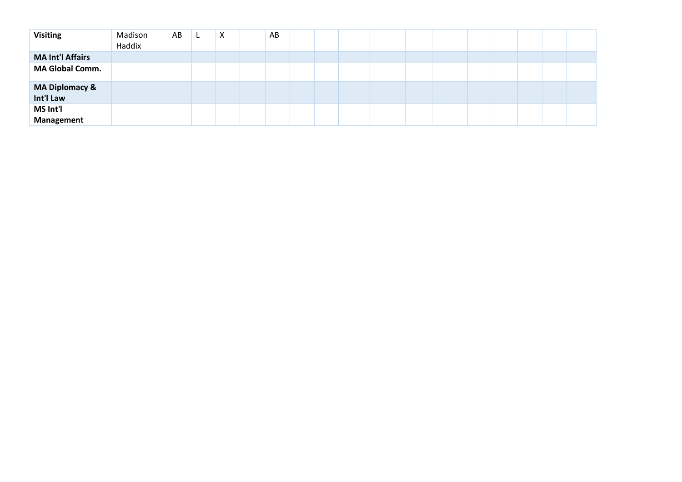| <b>Visiting</b>                        | Madison<br>Haddix | AB | 1 L. | x | AB |  |  |  |  |  |  |
|----------------------------------------|-------------------|----|------|---|----|--|--|--|--|--|--|
| <b>MA Int'l Affairs</b>                |                   |    |      |   |    |  |  |  |  |  |  |
| <b>MA Global Comm.</b>                 |                   |    |      |   |    |  |  |  |  |  |  |
| <b>MA Diplomacy &amp;</b><br>Int'l Law |                   |    |      |   |    |  |  |  |  |  |  |
| MS Int'l<br>Management                 |                   |    |      |   |    |  |  |  |  |  |  |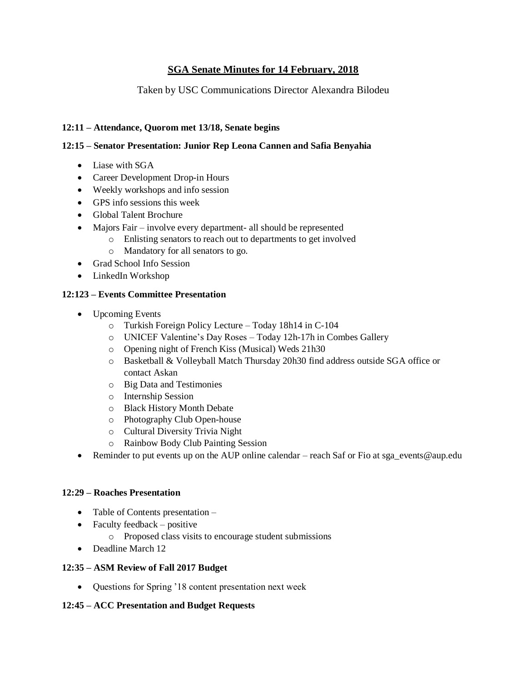## **SGA Senate Minutes for 14 February, 2018**

## Taken by USC Communications Director Alexandra Bilodeu

#### **12:11 – Attendance, Quorom met 13/18, Senate begins**

#### **12:15 – Senator Presentation: Junior Rep Leona Cannen and Safia Benyahia**

- Liase with SGA
- Career Development Drop-in Hours
- Weekly workshops and info session
- GPS info sessions this week
- Global Talent Brochure
- Majors Fair involve every department- all should be represented
	- o Enlisting senators to reach out to departments to get involved
	- o Mandatory for all senators to go.
- Grad School Info Session
- LinkedIn Workshop

#### **12:123 – Events Committee Presentation**

- Upcoming Events
	- o Turkish Foreign Policy Lecture Today 18h14 in C-104
	- o UNICEF Valentine's Day Roses Today 12h-17h in Combes Gallery
	- o Opening night of French Kiss (Musical) Weds 21h30
	- o Basketball & Volleyball Match Thursday 20h30 find address outside SGA office or contact Askan
	- o Big Data and Testimonies
	- o Internship Session
	- o Black History Month Debate
	- o Photography Club Open-house
	- o Cultural Diversity Trivia Night
	- o Rainbow Body Club Painting Session
- Reminder to put events up on the AUP online calendar reach Saf or Fio at sga\_events@aup.edu

#### **12:29 – Roaches Presentation**

- Table of Contents presentation –
- Faculty feedback positive
	- o Proposed class visits to encourage student submissions
- Deadline March 12

#### **12:35 – ASM Review of Fall 2017 Budget**

• Questions for Spring '18 content presentation next week

#### **12:45 – ACC Presentation and Budget Requests**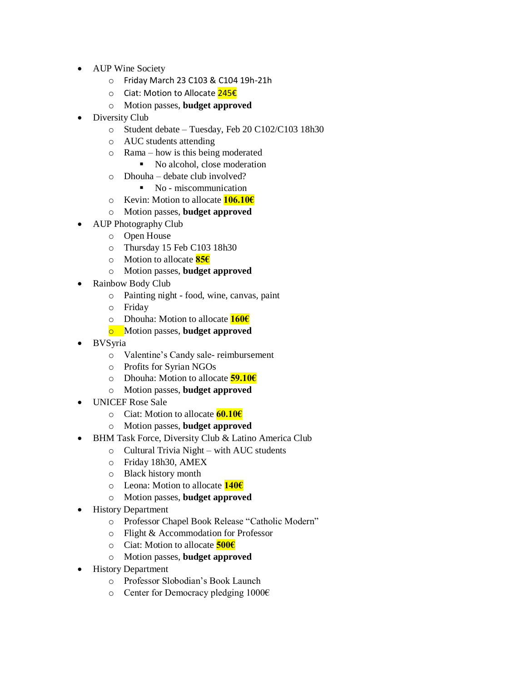- AUP Wine Society
	- o Friday March 23 C103 & C104 19h-21h
	- o Ciat: Motion to Allocate 245€
	- o Motion passes, **budget approved**
- Diversity Club
	- o Student debate Tuesday, Feb 20 C102/C103 18h30
	- o AUC students attending
	- o Rama how is this being moderated
		- No alcohol, close moderation
	- o Dhouha debate club involved?
		- No miscommunication
	- o Kevin: Motion to allocate **106.10€**
	- o Motion passes, **budget approved**
- AUP Photography Club
	- o Open House
		- o Thursday 15 Feb C103 18h30
		- o Motion to allocate **85€**
		- o Motion passes, **budget approved**
- Rainbow Body Club
	- o Painting night food, wine, canvas, paint
	- o Friday
	- o Dhouha: Motion to allocate **160€**

#### o Motion passes, **budget approved**

- **BVSyria** 
	- o Valentine's Candy sale- reimbursement
	- o Profits for Syrian NGOs
	- o Dhouha: Motion to allocate **59.10€**
	- o Motion passes, **budget approved**
- UNICEF Rose Sale
	- o Ciat: Motion to allocate **60.10€**
	- o Motion passes, **budget approved**
- BHM Task Force, Diversity Club & Latino America Club
	- o Cultural Trivia Night with AUC students
		- o Friday 18h30, AMEX
		- o Black history month
		- o Leona: Motion to allocate **140€**
		- o Motion passes, **budget approved**
- History Department
	- o Professor Chapel Book Release "Catholic Modern"
	- o Flight & Accommodation for Professor
	- o Ciat: Motion to allocate **500€**
	- o Motion passes, **budget approved**
- History Department
	- o Professor Slobodian's Book Launch
	- o Center for Democracy pledging 1000€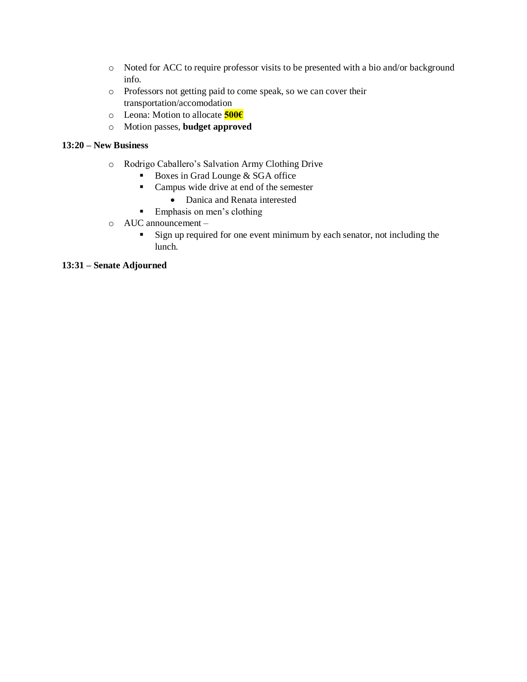- o Noted for ACC to require professor visits to be presented with a bio and/or background info.
- o Professors not getting paid to come speak, so we can cover their transportation/accomodation
- o Leona: Motion to allocate **500€**
- o Motion passes, **budget approved**

#### **13:20 – New Business**

- o Rodrigo Caballero's Salvation Army Clothing Drive
	- Boxes in Grad Lounge & SGA office
	- Campus wide drive at end of the semester
		- Danica and Renata interested
	- Emphasis on men's clothing
- o AUC announcement
	- Sign up required for one event minimum by each senator, not including the lunch.

#### **13:31 – Senate Adjourned**